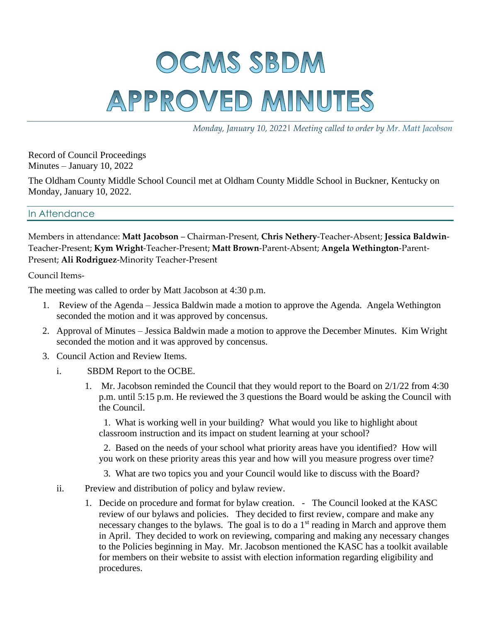## OCMS SBDM APPROVED MINUTES

*Monday, January 10, 2022*| *Meeting called to order by Mr. Matt Jacobson*

Record of Council Proceedings Minutes – January 10, 2022

The Oldham County Middle School Council met at Oldham County Middle School in Buckner, Kentucky on Monday, January 10, 2022.

## In Attendance

Members in attendance: **Matt Jacobson** – Chairman-Present, **Chris Nethery**-Teacher-Absent; **Jessica Baldwin**-Teacher-Present; **Kym Wright**-Teacher-Present; **Matt Brown**-Parent-Absent; **Angela Wethington**-Parent-Present; **Ali Rodriguez**-Minority Teacher-Present

Council Items-

The meeting was called to order by Matt Jacobson at 4:30 p.m.

- 1. Review of the Agenda Jessica Baldwin made a motion to approve the Agenda. Angela Wethington seconded the motion and it was approved by concensus.
- 2. Approval of Minutes Jessica Baldwin made a motion to approve the December Minutes. Kim Wright seconded the motion and it was approved by concensus.
- 3. Council Action and Review Items.
	- i. SBDM Report to the OCBE.
		- 1. Mr. Jacobson reminded the Council that they would report to the Board on 2/1/22 from 4:30 p.m. until 5:15 p.m. He reviewed the 3 questions the Board would be asking the Council with the Council.

 1. What is working well in your building? What would you like to highlight about classroom instruction and its impact on student learning at your school?

 2. Based on the needs of your school what priority areas have you identified? How will you work on these priority areas this year and how will you measure progress over time?

- 3. What are two topics you and your Council would like to discuss with the Board?
- ii. Preview and distribution of policy and bylaw review.
	- 1. Decide on procedure and format for bylaw creation. The Council looked at the KASC review of our bylaws and policies. They decided to first review, compare and make any necessary changes to the bylaws. The goal is to do a  $1<sup>st</sup>$  reading in March and approve them in April. They decided to work on reviewing, comparing and making any necessary changes to the Policies beginning in May. Mr. Jacobson mentioned the KASC has a toolkit available for members on their website to assist with election information regarding eligibility and procedures.